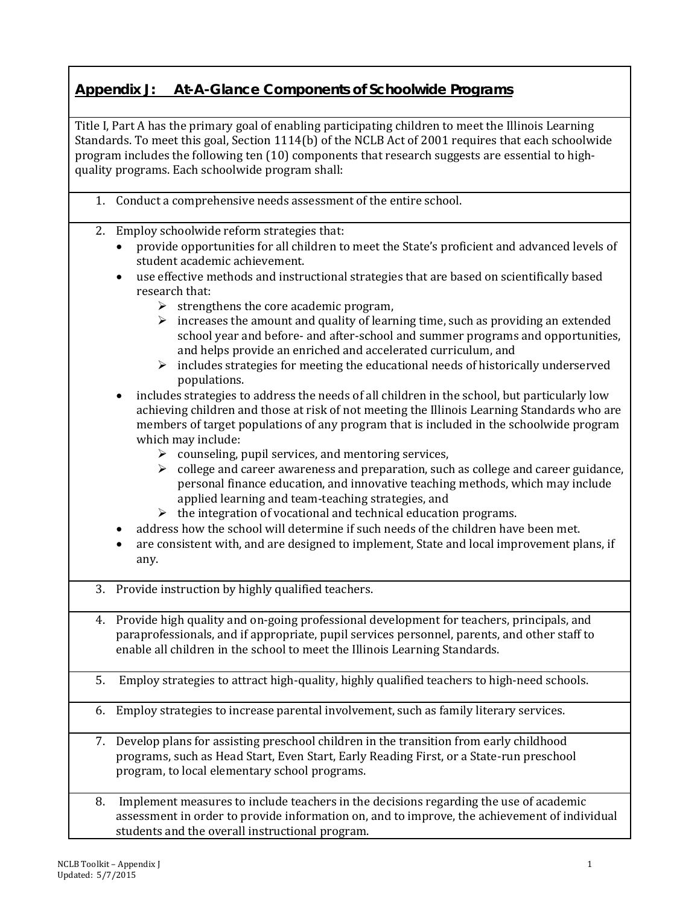## **Appendix J: At-A-Glance Components of Schoolwide Programs**

Title I, Part A has the primary goal of enabling participating children to meet the Illinois Learning Standards. To meet this goal, Section 1114(b) of the NCLB Act of 2001 requires that each schoolwide program includes the following ten (10) components that research suggests are essential to highquality programs. Each schoolwide program shall:

- 1. Conduct a comprehensive needs assessment of the entire school.
- 2. Employ schoolwide reform strategies that:
	- provide opportunities for all children to meet the State's proficient and advanced levels of student academic achievement.
	- use effective methods and instructional strategies that are based on scientifically based research that:
		- $\triangleright$  strengthens the core academic program,
		- $\triangleright$  increases the amount and quality of learning time, such as providing an extended school year and before- and after-school and summer programs and opportunities, and helps provide an enriched and accelerated curriculum, and
		- $\triangleright$  includes strategies for meeting the educational needs of historically underserved populations.
	- includes strategies to address the needs of all children in the school, but particularly low achieving children and those at risk of not meeting the Illinois Learning Standards who are members of target populations of any program that is included in the schoolwide program which may include:
		- $\triangleright$  counseling, pupil services, and mentoring services,
		- $\triangleright$  college and career awareness and preparation, such as college and career guidance, personal finance education, and innovative teaching methods, which may include applied learning and team-teaching strategies, and
		- $\triangleright$  the integration of vocational and technical education programs.
	- address how the school will determine if such needs of the children have been met.
	- are consistent with, and are designed to implement, State and local improvement plans, if any.
- 3. Provide instruction by highly qualified teachers.
- 4. Provide high quality and on-going professional development for teachers, principals, and paraprofessionals, and if appropriate, pupil services personnel, parents, and other staff to enable all children in the school to meet the Illinois Learning Standards.
- 5. Employ strategies to attract high-quality, highly qualified teachers to high-need schools.
- 6. Employ strategies to increase parental involvement, such as family literary services.
- 7. Develop plans for assisting preschool children in the transition from early childhood programs, such as Head Start, Even Start, Early Reading First, or a State-run preschool program, to local elementary school programs.
- 8. Implement measures to include teachers in the decisions regarding the use of academic assessment in order to provide information on, and to improve, the achievement of individual students and the overall instructional program.